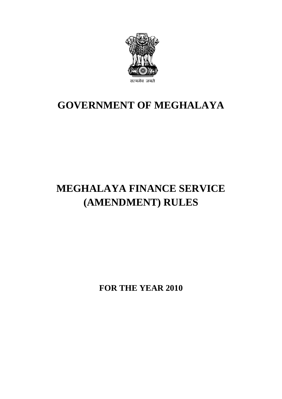

# **GOVERNMENT OF MEGHALAYA**

# **MEGHALAYA FINANCE SERVICE (AMENDMENT) RULES**

**FOR THE YEAR 2010**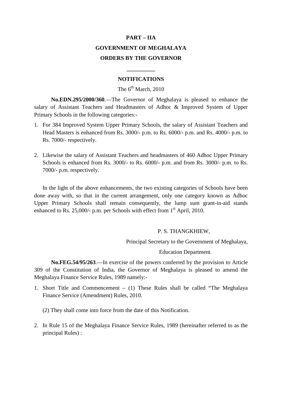# **PART – IIA GOVERNMENT OF MEGHALAYA ORDERS BY THE GOVERNOR**

### **NOTIFICATIONS**

**\_\_\_\_\_\_\_\_\_\_**

## The  $6^{th}$  March, 2010

**No.EDN.295/2000/360**.—The Governor of Meghalaya is pleased to enhance the salary of Assistant Teachers and Headmasters of Adhoc & Improved System of Upper Primary Schools in the following categories:-

- 1. For 384 Improved System Upper Primary Schools, the salary of Assistant Teachers and Head Masters is enhanced from Rs. 3000/- p.m. to Rs. 6000/- p.m. and Rs. 4000/- p.m. to Rs. 7000/- respectively.
- 2. Likewise the salary of Assistant Teachers and headmasters of 460 Adhoc Upper Primary Schools is enhanced from Rs. 3000/- to Rs. 6000/- p.m. and from Rs. 3000/- p.m. to Rs. 7000/- p.m. respectively.

In the light of the above enhancements, the two existing categories of Schools have been done away with, so that in the current arrangement, only one category known as Adhoc Upper Primary Schools shall remain consequently, the lump sum grant-in-aid stands enhanced to Rs. 25,000/- p.m. per Schools with effect from  $1<sup>st</sup>$  April, 2010.

#### P. S. THANGKHIEW,

Principal Secretary to the Government of Meghalaya,

#### Education Department.

**No.FEG.54/95/263**.—In exercise of the powers conferred by the provision to Article 309 of the Constitution of India, the Governor of Meghalaya is pleased to amend the Meghalaya Finance Service Rules, 1989 namely:-

1. Short Title and Commencement – (1) These Rules shall be called "The Meghalaya Finance Service (Amendment) Rules, 2010.

(2) They shall come into force from the date of this Notification.

2. In Rule 15 of the Meghalaya Finance Service Rules, 1989 (hereinafter referred to as the principal Rules) :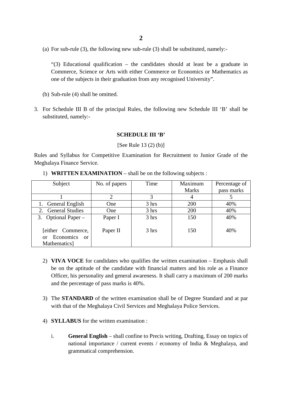(a) For sub-rule (3), the following new sub-rule (3) shall be substituted, namely:-

"(3) Educational qualification – the candidates should at least be a graduate in Commerce, Science or Arts with either Commerce or Economics or Mathematics as one of the subjects in their graduation from any recognised University".

- (b) Sub-rule (4) shall be omitted.
- 3. For Schedule III B of the principal Rules, the following new Schedule III 'B' shall be substituted, namely:-

### **SCHEDULE III 'B'**

[See Rule 13 (2) (b)]

Rules and Syllabus for Competitive Examination for Recruitment to Junior Grade of the Meghalaya Finance Service.

| Subject                                                                            | No. of papers | Time  | Maximum      | Percentage of |
|------------------------------------------------------------------------------------|---------------|-------|--------------|---------------|
|                                                                                    |               |       | <b>Marks</b> | pass marks    |
|                                                                                    |               |       | 4            |               |
| 1. General English                                                                 | One           | 3 hrs | 200          | 40%           |
| 2. General Studies                                                                 | <b>One</b>    | 3 hrs | 200          | 40%           |
| 3. Optional Paper $-$                                                              | Paper I       | 3 hrs | 150          | 40%           |
| [either Commerce,<br><b>Economics</b><br>$\alpha$<br><sub>or</sub><br>Mathematics] | Paper II      | 3 hrs | 150          | 40%           |

1) **WRITTEN EXAMINATION** – shall be on the following subjects :

- 2) **VIVA VOCE** for candidates who qualifies the written examination Emphasis shall be on the aptitude of the candidate with financial matters and his role as a Finance Officer, his personality and general awareness. It shall carry a maximum of 200 marks and the percentage of pass marks is 40%.
- 3) The **STANDARD** of the written examination shall be of Degree Standard and at par with that of the Meghalaya Civil Services and Meghalaya Police Services.
- 4) **SYLLABUS** for the written examination :
	- i. **General English** shall confine to Precis writing, Drafting, Essay on topics of national importance / current events / economy of India & Meghalaya, and grammatical comprehension.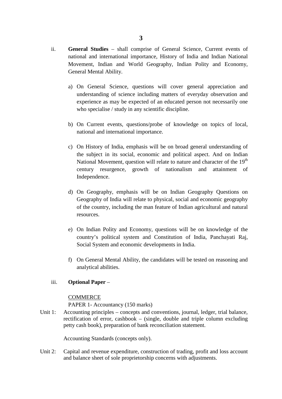- ii. **General Studies** shall comprise of General Science, Current events of national and international importance, History of India and Indian National Movement, Indian and World Geography, Indian Polity and Economy, General Mental Ability.
	- a) On General Science, questions will cover general appreciation and understanding of science including matters of everyday observation and experience as may be expected of an educated person not necessarily one who specialise / study in any scientific discipline.
	- b) On Current events, questions/probe of knowledge on topics of local, national and international importance.
	- c) On History of India, emphasis will be on broad general understanding of the subject in its social, economic and political aspect. And on Indian National Movement, question will relate to nature and character of the  $19<sup>th</sup>$ century resurgence, growth of nationalism and attainment of Independence.
	- d) On Geography, emphasis will be on Indian Geography Questions on Geography of India will relate to physical, social and economic geography of the country, including the man feature of Indian agricultural and natural resources.
	- e) On Indian Polity and Economy, questions will be on knowledge of the country's political system and Constitution of India, Panchayati Raj, Social System and economic developments in India.
	- f) On General Mental Ability, the candidates will be tested on reasoning and analytical abilities.

### iii. **Optional Paper** –

### COMMERCE

PAPER 1- Accountancy (150 marks)

Unit 1: Accounting principles – concepts and conventions, journal, ledger, trial balance, rectification of error, cashbook – (single, double and triple column excluding petty cash book), preparation of bank reconciliation statement.

Accounting Standards (concepts only).

Unit  $2$ . Capital and revenue expenditure, construction of trading, profit and loss account and balance sheet of sole proprietorship concerns with adjustments.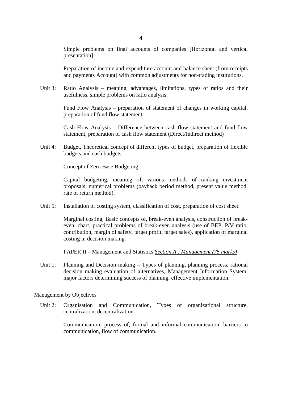Simple problems on final accounts of companies [Horizontal and vertical presentation]

Preparation of income and expenditure account and balance sheet (from receipts and payments Account) with common adjustments for non-trading institutions.

Unit 3: Ratio Analysis – meaning, advantages, limitations, types of ratios and their usefulness, simple problems on ratio analysis.

> Fund Flow Analysis – preparation of statement of changes in working capital, preparation of fund flow statement.

> Cash Flow Analysis – Difference between cash flow statement and fund flow statement, preparation of cash flow statement (Direct/Indirect method)

Unit 4: Budget, Theoretical concept of different types of budget, preparation of flexible budgets and cash budgets.

Concept of Zero Base Budgeting.

Capital budgeting, meaning of, various methods of ranking investment proposals, numerical problems (payback period method, present value method, rate of return method).

Unit 5: Installation of costing system, classification of cost, preparation of cost sheet.

> Marginal costing, Basic concepts of, break-even analysis, construction of breakeven, chart, practical problems of break-even analysis (use of BEP, P/V ratio, contribution, margin of safety, target profit, target sales), application of marginal costing in decision making.

PAPER II – Management and Statistics *Section A : Management (75 marks)*

Unit 1: Planning and Decision making – Types of planning, planning process, rational decision making evaluation of alternatives, Management Information System, major factors determining success of planning, effective implementation.

#### Management by Objectives

Unit 2: Organisation and Communication, Types of organizational structure, centralization, decentralization.

> Communication, process of, formal and informal communication, barriers to communication, flow of communication.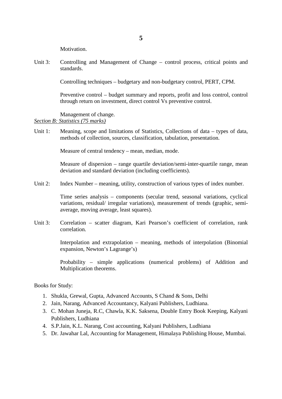Motivation.

Unit 3: Controlling and Management of Change – control process, critical points and standards.

Controlling techniques – budgetary and non-budgetary control, PERT, CPM.

Preventive control – budget summary and reports, profit and loss control, control through return on investment, direct control Vs preventive control.

Management of change.

### *Section B: Statistics (75 marks)*

Unit 1: Meaning, scope and limitations of Statistics, Collections of data – types of data, methods of collection, sources, classification, tabulation, presentation.

Measure of central tendency – mean, median, mode.

Measure of dispersion – range quartile deviation/semi-inter-quartile range, mean deviation and standard deviation (including coefficients).

Unit 2: Index Number – meaning, utility, construction of various types of index number.

> Time series analysis – components (secular trend, seasonal variations, cyclical variations, residual/ irregular variations), measurement of trends (graphic, semiaverage, moving average, least squares).

Unit  $3$ . Correlation – scatter diagram, Kari Pearson's coefficient of correlation, rank correlation.

> Interpolation and extrapolation – meaning, methods of interpolation (Binomial expansion, Newton's Lagrange's)

> Probability – simple applications (numerical problems) of Addition and Multiplication theorems.

Books for Study:

- 1. Shukla, Grewal, Gupta, Advanced Accounts, S Chand & Sons, Delhi
- 2. Jain, Narang, Advanced Accountancy, Kalyani Publishers, Ludhiana.
- 3. C. Mohan Juneja, R.C, Chawla, K.K. Saksena, Double Entry Book Keeping, Kalyani Publishers, Ludhiana
- 4. S.P.Jain, K.L. Narang, Cost accounting, Kalyani Publishers, Ludhiana
- 5. Dr. Jawahar Lal, Accounting for Management, Himalaya Publishing House, Mumbai.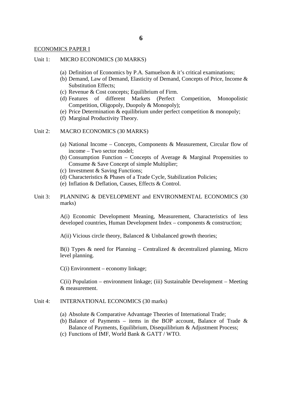### ECONOMICS PAPER I

- Unit 1: MICRO ECONOMICS (30 MARKS)
	- (a) Definition of Economics by P.A. Samuelson  $&$  it's critical examinations;
	- (b) Demand, Law of Demand, Elasticity of Demand, Concepts of Price, Income & Substitution Effects;
	- (c) Revenue & Cost concepts; Equilibrium of Firm.
	- (d) Features of different Markets (Perfect Competition, Monopolistic Competition, Oligopoly, Duopoly & Monopoly);
	- (e) Price Determination & equilibrium under perfect competition & monopoly;
	- (f) Marginal Productivity Theory.

#### Unit 2: MACRO ECONOMICS (30 MARKS)

- (a) National Income Concepts, Components & Measurement, Circular flow of income – Two sector model;
- (b) Consumption Function Concepts of Average & Marginal Propensities to Consume & Save Concept of simple Multiplier;
- (c) Investment & Saving Functions;
- (d) Characteristics & Phases of a Trade Cycle, Stabilization Policies;
- (e) Inflation & Deflation, Causes, Effects & Control.
- Unit 3: PLANNING & DEVELOPMENT and ENVIRONMENTAL ECONOMICS (30 marks)

A(i) Economic Development Meaning, Measurement, Characteristics of less developed countries, Human Development Index – components & construction;

 $A(i)$  Vicious circle theory, Balanced & Unbalanced growth theories;

 $B(i)$  Types & need for Planning – Centralized & decentralized planning, Micro level planning.

C(i) Environment – economy linkage;

 $C(i)$  Population – environment linkage; (iii) Sustainable Development – Meeting & measurement.

#### Unit 4: INTERNATIONAL ECONOMICS (30 marks)

- (a) Absolute & Comparative Advantage Theories of International Trade;
- (b) Balance of Payments items in the BOP account, Balance of Trade  $\&$ Balance of Payments, Equilibrium, Disequilibrium & Adjustment Process;
- (c) Functions of IMF, World Bank & GATT / WTO.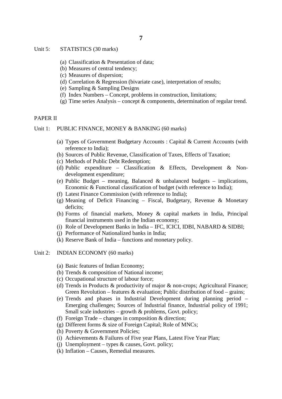- Unit 5: STATISTICS (30 marks)
	- (a) Classification & Presentation of data;
	- (b) Measures of central tendency;
	- (c) Measures of dispersion;
	- (d) Correlation & Regression (bivariate case), interpretation of results;
	- (e) Sampling & Sampling Designs
	- (f) Index Numbers Concept, problems in construction, limitations;
	- (g) Time series Analysis concept  $\&$  components, determination of regular trend.

### PAPER II

- Unit 1: PUBLIC FINANCE, MONEY & BANKING (60 marks)
	- (a) Types of Government Budgetary Accounts : Capital & Current Accounts (with reference to India);
	- (b) Sources of Public Revenue, Classification of Taxes, Effects of Taxation;
	- (c) Methods of Public Debt Redemption;
	- (d) Public expenditure Classification & Effects, Development & Nondevelopment expenditure;
	- (e) Public Budget meaning, Balanced & unbalanced budgets implications, Economic & Functional classification of budget (with reference to India);
	- (f) Latest Finance Commission (with reference to India);
	- (g) Meaning of Deficit Financing Fiscal, Budgetary, Revenue & Monetary deficits;
	- (h) Forms of financial markets, Money & capital markets in India, Principal financial instruments used in the Indian economy;
	- (i) Role of Development Banks in India IFC, ICICI, IDBI, NABARD & SIDBI;
	- (j) Performance of Nationalized banks in India;
	- (k) Reserve Bank of India functions and monetary policy.
- Unit  $2$ : INDIAN ECONOMY (60 marks)
	- (a) Basic features of Indian Economy;
	- (b) Trends & composition of National income;
	- (c) Occupational structure of labour force;
	- (d) Trends in Products & productivity of major & non-crops; Agricultural Finance; Green Revolution – features  $\&$  evaluation; Public distribution of food – grains;
	- (e) Trends and phases in Industrial Development during planning period Emerging challenges; Sources of Industrial finance, Industrial policy of 1991; Small scale industries – growth  $&$  problems, Govt. policy;
	- (f) Foreign Trade changes in composition  $&$  direction;
	- (g) Different forms & size of Foreign Capital; Role of MNCs;
	- (h) Poverty & Government Policies;
	- (i) Achievements & Failures of Five year Plans, Latest Five Year Plan;
	- (i) Unemployment types  $&$  causes, Govt. policy;
	- (k) Inflation Causes, Remedial measures.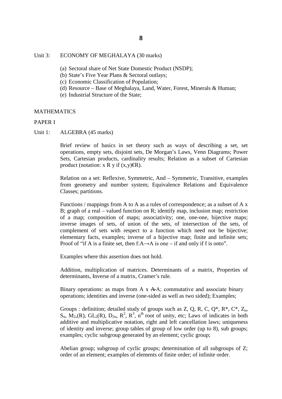### Unit 3: ECONOMY OF MEGHALAYA (30 marks)

- (a) Sectoral share of Net State Domestic Product (NSDP);
- (b) State's Five Year Plans & Sectoral outlays;
- (c) Economic Classification of Population;
- (d) Resource Base of Meghalaya, Land, Water, Forest, Minerals & Human;
- (e) Industrial Structure of the State;

### MATHEMATICS

### PAPER I

Unit 1: ALGEBRA (45 marks)

Brief review of basics in set theory such as ways of describing a set, set operations, empty sets, disjoint sets, De Morgan's Laws, Venn Diagrams; Power Sets, Cartesian products, cardinality results; Relation as a subset of Cartesian product (notation:  $x R y$  if  $(x,y) \in \mathbb{R}$ ).

Relation on a set: Reflexive, Symmetric, And – Symmetric, Transitive, examples from geometry and number system; Equivalence Relations and Equivalence Classes; partitions.

Functions / mappings from A to A as a rules of correspondence; as a subset of A x B; graph of a real – valued function on R; identify map, inclusion map; restriction of a map; composition of maps; associativity; one, one-one, bijective maps; inverse images of sets, of union of the sets, of intersection of the sets, of complement of sets with respect to a function which need not be bijective; elementary facts, examples; inverse of a bijective map; finite and infinite sets; Proof of "if A is a finite set, then f:A $\rightarrow$ A is one – if and only if f is onto".

Examples where this assertion does not hold.

Addition, multiplication of matrices. Determinants of a matrix, Properties of determinants, Inverse of a matrix, Cramer's rule.

Binary operations: as maps from A  $\bar{x}$  A $\bar{A}$ ; commutative and associate binary operations; identities and inverse (one-sided as well as two sided); Examples;

Groups : definition; detailed study of groups such as  $Z$ , Q, R, C, Q\*, R\*, C\*,  $Z_n$ ,  $S_n$ ,  $\overline{M}_2$ ,  $(R)$ ,  $GL_2(R)$ ,  $D_{2n}$ ,  $R^2$ ,  $R^3$ ,  $n^{th}$  root of unity, etc; Laws of indicates in both additive and multiplicative notation, right and left cancellation laws; uniqueness of identity and inverse; group tables of group of low order (up to 8), sub groups; examples; cyclic subgroup generated by an element; cyclic group;

Abelian group; subgroup of cyclic groups; determination of all subgroups of Z; order of an element; examples of elements of finite order; of infinite order.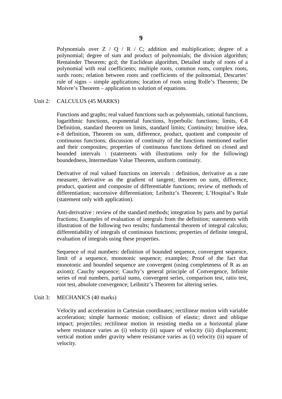Polynomials over  $Z / Q / R / C$ ; addition and multiplication; degree of a polynomial; degree of sum and product of polynomials; the division algorithm; Remainder Theorem; gcd; the Euclidean algorithm, Detailed study of roots of a polynomial with real coefficients; multiple roots, common roots, complex roots, surds roots; relation between roots and coefficients of the poltnomial, Descartes' rule of signs – simple applications; location of roots using Rolle's Theorem; De Moivre's Theorem – application to solution of equations.

#### Unit 2: CALCULUS (45 MARKS)

Functions and graphs; real valued functions such as polynomials, rational functions, logarithmic functions, exponential functions, hyperbolic functions; limits,  $\epsilon$ 8 Definition, standard theorem on limits, standard limits; Continuity; Intuitive idea, e-8 definition, Theorem on sum, difference, product, quotient and composite of continuous functions; discussion of continuity of the functions mentioned earlier and their composites; properties of continuous functions defined on closed and bounded intervals : (statements with illustrations only for the following) boundedness, Intermediate Value Theorem, uniform continuity.

Derivative of real valued functions on intervals : definition, derivative as a rate measurer, derivative as the gradient of tangent; theorem on sum, difference, product, quotient and composite of differentiable functions; review of methods of differentiation; successive differentiation; Leibnitz's Theorem; L'Hospital's Rule (statement only with application).

Anti-derivative : review of the standard methods; integration by parts and by partial fractions; Examples of evaluation of integrals from the definition; statements with illustration of the following two results; fundamental theorem of integral calculus; differentiability of integrals of continuous functions; properties of definite integral, evaluation of integrals using these properties.

Sequence of real numbers: definition of bounded sequence, convergent sequence, limit of a sequence, monotonic sequence; examples; Proof of the fact that monotonic and bounded sequence are convergent (using completeness of R as an axiom); Cauchy sequence; Cauchy's general principle of Convergence, Infinite series of real numbers, partial sums, convergent series, comparison test, ratio test, root test, absolute convergence; Leibnitz's Theorem for altering series.

#### Unit 3: MECHANICS (40 marks)

Velocity and acceleration in Cartesian coordinates; rectilinear motion with variable acceleration; simple harmonic motion; collision of elastic; direct and oblique impact; projectiles; rectilinear motion in resisting media on a horizontal plane where resistance varies as (i) velocity (ii) square of velocity (iii) displacement; vertical motion under gravity where resistance varies as (i) velocity (ii) square of velocity.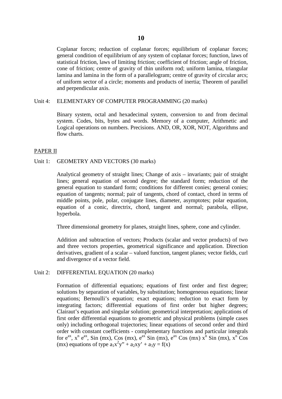Coplanar forces; reduction of coplanar forces; equilibrium of coplanar forces; general condition of equilibrium of any system of coplanar forces; function, laws of statistical friction, laws of limiting friction; coefficient of friction; angle of friction, cone of friction; centre of gravity of thin uniform rod; uniform lamina, triangular lamina and lamina in the form of a parallelogram; centre of gravity of circular arcs; of uniform sector of a circle; moments and products of inertia; Theorem of parallel and perpendicular axis.

#### Unit 4: ELEMENTARY OF COMPUTER PROGRAMMING (20 marks)

Binary system, octal and hexadecimal system, conversion to and from decimal system. Codes, bits, bytes and words. Memory of a computer, Arithmetic and Logical operations on numbers. Precisions. AND, OR, XOR, NOT, Algorithms and flow charts.

#### PAPER II

### Unit 1: GEOMETRY AND VECTORS (30 marks)

Analytical geometry of straight lines; Change of axis – invariants; pair of straight lines; general equation of second degree; the standard form; reduction of the general equation to standard form; conditions for different conies; general conies; equation of tangents; normal; pair of tangents, chord of contact, chord in terms of middle points, pole, polar, conjugate lines, diameter, asymptotes; polar equation, equation of a conic, directrix, chord, tangent and normal; parabola, ellipse, hyperbola.

Three dimensional geometry for planes, straight lines, sphere, cone and cylinder.

Addition and subtraction of vectors; Products (scalar and vector products) of two and three vectors properties, geometrical significance and application. Direction derivatives, gradient of a scalar – valued function, tangent planes; vector fields, curl and divergence of a vector field.

#### Unit 2: DIFFERENTIAL EQUATION (20 marks)

Formation of differential equations; equations of first order and first degree; solutions by separation of variables, by substitution; homogeneous equations; linear equations; Bernoulli's equation; exact equations; reduction to exact form by integrating factors; differential equations of first order but higher degrees; Clairaut's equation and singular solution; geometrical interpretation; applications of first order differential equations to geometric and physical problems (simple cases only) including orthogonal trajectories; linear equations of second order and third order with constant coefficients - complementary functions and particular integrals for  $e^{ax}$ ,  $x^n e^{ax}$ , Sin (mx), Cos (mx),  $e^{ax}$  Sin (mx),  $e^{ax}$  Cos (mx)  $x^n$  Sin (mx),  $x^n$  Cos (mx) equations of type  $a_1x^2y'' + a_2xy' + a_3y = f(x)$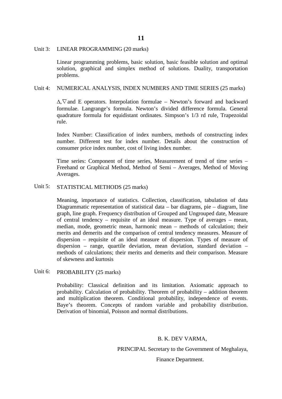#### Unit 3: LINEAR PROGRAMMING (20 marks)

Linear programming problems, basic solution, basic feasible solution and optimal solution, graphical and simplex method of solutions. Duality, transportation problems.

#### Unit 4: NUMERICAL ANALYSIS, INDEX NUMBERS AND TIME SERIES (25 marks)

∆,∇and E operators. Interpolation formulae – Newton's forward and backward formulae. Langrange's formula. Newton's divided difference formula. General quadrature formula for equidistant ordinates. Simpson's 1/3 rd rule, Trapezoidal rule.

Index Number: Classification of index numbers, methods of constructing index number. Different test for index number. Details about the construction of consumer price index number, cost of living index number.

Time series: Component of time series, Measurement of trend of time series – Freehand or Graphical Method, Method of Semi – Averages, Method of Moving Averages.

#### Unit 5: STATISTICAL METHODS (25 marks)

Meaning, importance of statistics. Collection, classification, tabulation of data Diagrammatic representation of statistical data – bar diagrams, pie – diagram, line graph, line graph. Frequency distribution of Grouped and Ungrouped date, Measure of central tendency – requisite of an ideal measure. Type of averages – mean, median, mode, geometric mean, harmonic mean – methods of calculation; their merits and demerits and the comparison of central tendency measures. Measure of dispersion – requisite of an ideal measure of dispersion. Types of measure of dispersion – range, quartile deviation, mean deviation, standard deviation – methods of calculations; their merits and demerits and their comparison. Measure of skewness and kurtosis

#### Unit 6: PROBABILITY (25 marks)

Probability: Classical definition and its limitation. Axiomatic approach to probability. Calculation of probability. Theorem of probability – addition theorem and multiplication theorem. Conditional probability, independence of events. Baye's theorem. Concepts of random variable and probability distribution. Derivation of binomial, Poisson and normal distributions.

#### B. K. DEV VARMA,

PRINCIPAL Secretary to the Government of Meghalaya,

Finance Department.